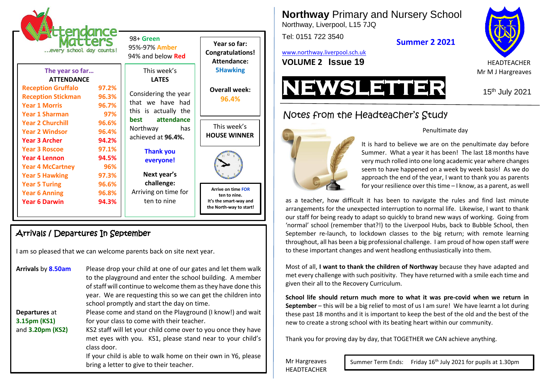

# Arrivals / Departures In September

I am so pleased that we can welcome parents back on site next year.

| Arrivals by 8.50am | Please drop your child at one of our gates and let them walk<br>to the playground and enter the school building. A member<br>of staff will continue to welcome them as they have done this<br>year. We are requesting this so we can get the children into<br>school promptly and start the day on time. |
|--------------------|----------------------------------------------------------------------------------------------------------------------------------------------------------------------------------------------------------------------------------------------------------------------------------------------------------|
| Departures at      | Please come and stand on the Playground (I know!) and wait                                                                                                                                                                                                                                               |
| 3.15pm (KS1)       | for your class to come with their teacher.                                                                                                                                                                                                                                                               |
| and 3.20pm (KS2)   | KS2 staff will let your child come over to you once they have<br>met eyes with you. KS1, please stand near to your child's<br>class door.                                                                                                                                                                |
|                    | If your child is able to walk home on their own in Y6, please<br>bring a letter to give to their teacher.                                                                                                                                                                                                |

**Northway** Primary and Nursery School Northway, Liverpool, L15 7JQ

Tel: 0151 722 3540

**Summer 2 2021**

[www.northway.liverpool.sch.uk](http://www.northway.liverpool.sch.uk/)





Notes from the Headteacher's Study



#### Penultimate day

It is hard to believe we are on the penultimate day before Summer. What a year it has been! The last 18 months have very much rolled into one long academic year where changes seem to have happened on a week by week basis! As we do approach the end of the year, I want to thank you as parents for your resilience over this time – I know, as a parent, as well

as a teacher, how difficult it has been to navigate the rules and find last minute arrangements for the unexpected interruption to normal life. Likewise, I want to thank our staff for being ready to adapt so quickly to brand new ways of working. Going from 'normal' school (remember that?!) to the Liverpool Hubs, back to Bubble School, then September re-launch, to lockdown classes to the big return; with remote learning throughout, all has been a big professional challenge. I am proud of how open staff were to these important changes and went headlong enthusiastically into them.

Most of all, **I want to thank the children of Northway** because they have adapted and met every challenge with such positivity. They have returned with a smile each time and given their all to the Recovery Curriculum.

**School life should return much more to what it was pre-covid when we return in September** – this will be a big relief to most of us I am sure! We have learnt a lot during these past 18 months and it is important to keep the best of the old and the best of the new to create a strong school with its beating heart within our community.

Thank you for proving day by day, that TOGETHER we CAN achieve anything.

Mr Hargreaves HEADTEACHER

Summer Term Ends: Friday 16<sup>th</sup> July 2021 for pupils at 1.30pm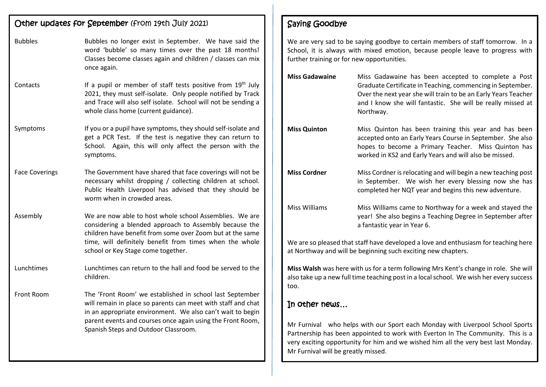# Other updates for September (from 19th July 2021) Bubbles Bubbles no longer exist in September. We have said the word 'bubble' so many times over the past 18 months! Classes become classes again and children / classes can mix once again. Contacts If a pupil or member of staff tests positive from 19<sup>th</sup> July 2021, they must self-isolate. Only people notified by Track and Trace will also self isolate. School will not be sending a whole class home (current guidance). Symptoms If you or a pupil have symptoms, they should self-isolate and get a PCR Test. If the test is negative they can return to School. Again, this will only affect the person with the symptoms. Face Coverings The Government have shared that face coverings will not be necessary whilst dropping / collecting children at school. Public Health Liverpool has advised that they should be worm when in crowded areas. Assembly We are now able to host whole school Assemblies. We are considering a blended approach to Assembly because the children have benefit from some over Zoom but at the same time, will definitely benefit from times when the whole school or Key Stage come together. Lunchtimes Lunchtimes can return to the hall and food be served to the children. Front Room The 'Front Room' we established in school last September will remain in place so parents can meet with staff and chat in an appropriate environment. We also can't wait to begin parent events and courses once again using the Front Room, Spanish Steps and Outdoor Classroom.

## Saying Goodbye

We are very sad to be saying goodbye to certain members of staff tomorrow. In a School, it is always with mixed emotion, because people leave to progress with further training or for new opportunities.

| <b>Miss Gadawaine</b> | Miss Gadawaine has been accepted to complete a Post<br>Graduate Certificate in Teaching, commencing in September.<br>Over the next year she will train to be an Early Years Teacher<br>and I know she will fantastic. She will be really missed at<br>Northway. |
|-----------------------|-----------------------------------------------------------------------------------------------------------------------------------------------------------------------------------------------------------------------------------------------------------------|
| <b>Miss Quinton</b>   | Miss Quinton has been training this year and has been<br>accepted onto an Early Years Course in September. She also<br>hopes to become a Primary Teacher. Miss Quinton has<br>worked in KS2 and Early Years and will also be missed.                            |
| <b>Miss Cordner</b>   | Miss Cordner is relocating and will begin a new teaching post<br>in September. We wish her every blessing now she has<br>completed her NQT year and begins this new adventure.                                                                                  |
| Miss Williams         | Miss Williams came to Northway for a week and stayed the<br>year! She also begins a Teaching Degree in September after<br>a fantastic year in Year 6.                                                                                                           |

We are so pleased that staff have developed a love and enthusiasm for teaching here at Northway and will be beginning such exciting new chapters.

**Miss Walsh** was here with us for a term following Mrs Kent's change in role. She will also take up a new full time teaching post in a local school. We wish her every success too.

## In other news…

Mr Furnival who helps with our Sport each Monday with Liverpool School Sports Partnership has been appointed to work with Everton In The Community. This is a very exciting opportunity for him and we wished him all the very best last Monday. Mr Furnival will be greatly missed.